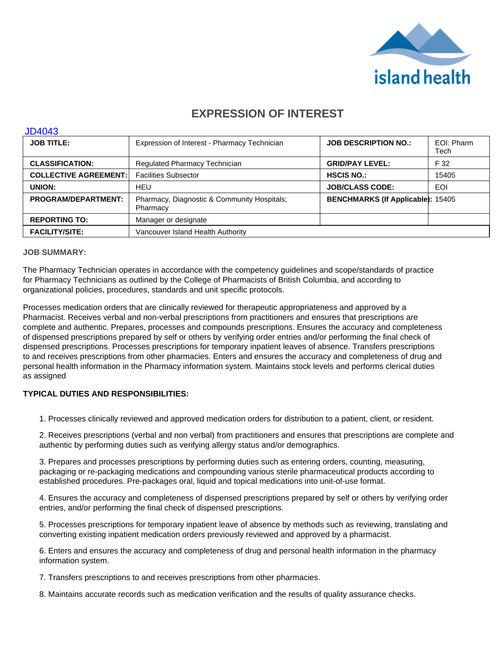

# **EXPRESSION OF INTEREST**

#### JD4043

| <b>JOB TITLE:</b>            | Expression of Interest - Pharmacy Technician            | <b>JOB DESCRIPTION NO.:</b>              | EOI: Pharm<br>Tech |
|------------------------------|---------------------------------------------------------|------------------------------------------|--------------------|
| <b>CLASSIFICATION:</b>       | Regulated Pharmacy Technician                           | <b>GRID/PAY LEVEL:</b>                   | F 32               |
| <b>COLLECTIVE AGREEMENT:</b> | <b>Facilities Subsector</b>                             | <b>HSCIS NO.:</b>                        | 15405              |
| UNION:                       | HEU                                                     | <b>JOB/CLASS CODE:</b>                   | <b>EOI</b>         |
| <b>PROGRAM/DEPARTMENT:</b>   | Pharmacy, Diagnostic & Community Hospitals;<br>Pharmacy | <b>BENCHMARKS (If Applicable): 15405</b> |                    |
| <b>REPORTING TO:</b>         | Manager or designate                                    |                                          |                    |
| <b>FACILITY/SITE:</b>        | Vancouver Island Health Authority                       |                                          |                    |

### **JOB SUMMARY:**

The Pharmacy Technician operates in accordance with the competency guidelines and scope/standards of practice for Pharmacy Technicians as outlined by the College of Pharmacists of British Columbia, and according to organizational policies, procedures, standards and unit specific protocols.

Processes medication orders that are clinically reviewed for therapeutic appropriateness and approved by a Pharmacist. Receives verbal and non-verbal prescriptions from practitioners and ensures that prescriptions are complete and authentic. Prepares, processes and compounds prescriptions. Ensures the accuracy and completeness of dispensed prescriptions prepared by self or others by verifying order entries and/or performing the final check of dispensed prescriptions. Processes prescriptions for temporary inpatient leaves of absence. Transfers prescriptions to and receives prescriptions from other pharmacies. Enters and ensures the accuracy and completeness of drug and personal health information in the Pharmacy information system. Maintains stock levels and performs clerical duties as assigned

### **TYPICAL DUTIES AND RESPONSIBILITIES:**

1. Processes clinically reviewed and approved medication orders for distribution to a patient, client, or resident.

2. Receives prescriptions (verbal and non verbal) from practitioners and ensures that prescriptions are complete and authentic by performing duties such as verifying allergy status and/or demographics.

3. Prepares and processes prescriptions by performing duties such as entering orders, counting, measuring, packaging or re-packaging medications and compounding various sterile pharmaceutical products according to established procedures. Pre-packages oral, liquid and topical medications into unit-of-use format.

4. Ensures the accuracy and completeness of dispensed prescriptions prepared by self or others by verifying order entries, and/or performing the final check of dispensed prescriptions.

5. Processes prescriptions for temporary inpatient leave of absence by methods such as reviewing, translating and converting existing inpatient medication orders previously reviewed and approved by a pharmacist.

6. Enters and ensures the accuracy and completeness of drug and personal health information in the pharmacy information system.

7. Transfers prescriptions to and receives prescriptions from other pharmacies.

8. Maintains accurate records such as medication verification and the results of quality assurance checks.